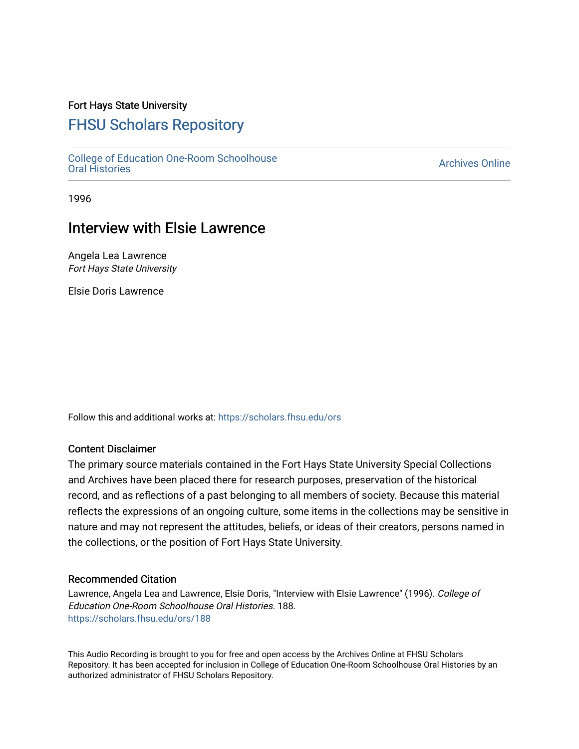## Fort Hays State University

# [FHSU Scholars Repository](https://scholars.fhsu.edu/)

[College of Education One-Room Schoolhouse](https://scholars.fhsu.edu/ors) [Oral Histories](https://scholars.fhsu.edu/ors) [Archives Online](https://scholars.fhsu.edu/archives) 

1996

# Interview with Elsie Lawrence

Angela Lea Lawrence Fort Hays State University

Elsie Doris Lawrence

Follow this and additional works at: [https://scholars.fhsu.edu/ors](https://scholars.fhsu.edu/ors?utm_source=scholars.fhsu.edu%2Fors%2F188&utm_medium=PDF&utm_campaign=PDFCoverPages) 

### Content Disclaimer

The primary source materials contained in the Fort Hays State University Special Collections and Archives have been placed there for research purposes, preservation of the historical record, and as reflections of a past belonging to all members of society. Because this material reflects the expressions of an ongoing culture, some items in the collections may be sensitive in nature and may not represent the attitudes, beliefs, or ideas of their creators, persons named in the collections, or the position of Fort Hays State University.

#### Recommended Citation

Lawrence, Angela Lea and Lawrence, Elsie Doris, "Interview with Elsie Lawrence" (1996). College of Education One-Room Schoolhouse Oral Histories. 188. [https://scholars.fhsu.edu/ors/188](https://scholars.fhsu.edu/ors/188?utm_source=scholars.fhsu.edu%2Fors%2F188&utm_medium=PDF&utm_campaign=PDFCoverPages) 

This Audio Recording is brought to you for free and open access by the Archives Online at FHSU Scholars Repository. It has been accepted for inclusion in College of Education One-Room Schoolhouse Oral Histories by an authorized administrator of FHSU Scholars Repository.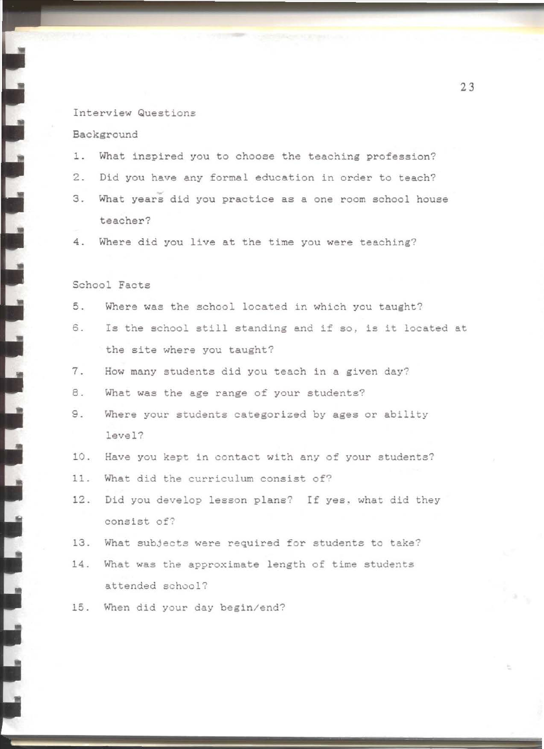#### Interview Questions

#### Background

- 1. What inspired you to choose the teaching profession?
- 2. Did you have any formal education in order to teach?
- 3. What years did you practice as a one room school house teacher?
- 4. Where did you live at the time you were teaching?

### School Facts

- 5. Where was the school located in which you taught?
- 6. Is the school still standing and if so, ie it located at the site where you taught?
- 7. How many students did you teach in a given day?
- 8. What was the age range of your students?
- 9. Where your students categorized by ages or ability level?
- 10. Have you kept in contact with any of your students?
- 11. What did the curriculum consist of?
- 12. Did you develop lesson plans? If yes. what did they consist of?
- 13. What subjects were required for students to take?
- 14. What was the approximate length of time students attended school?
- 15. When did your day begin/end?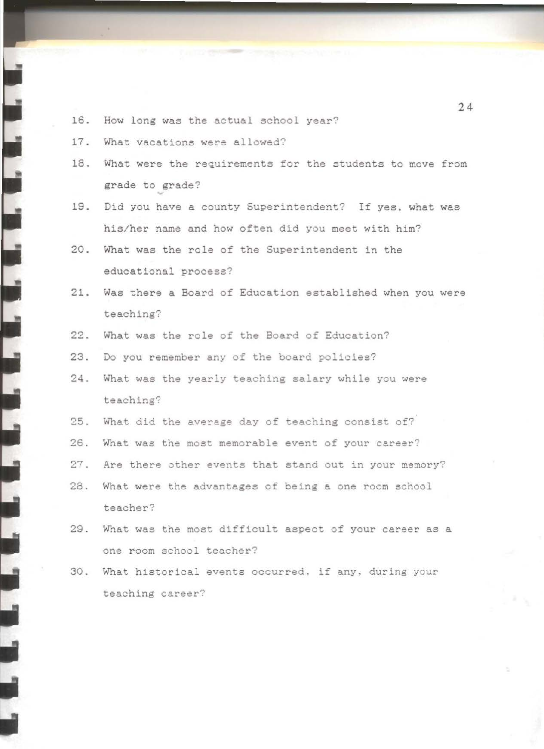- 16. How long was the actual school year?
- 17. What vacations were allowed?
- 18. What were the requirements for the students to move from grade to grade?
- 19. Did you have a county Superintendent? If yes, what was his/her name and how often did you meet with him?
- 20. What was the role of the Superintendent in the educational process?
- 21. Was there a Board of Education established when you were teaching?
- 22. What was the role of the Board of Education?
- 23. Do you remember any of the board policies?
- 24. What was the yearly teaching salary while you were teaching?
- 25. What did the average day of teaching consist of?
- 26. What was the most memorable event of your career?
- 27. Are there other events that stand out in your memory?
- 28. What were the advantages of being a one room school teacher?
- 29. What was the most difficult aspect of your career as a one room school teacher?
- 30. What historical events occurred, if any, during your teaching career?